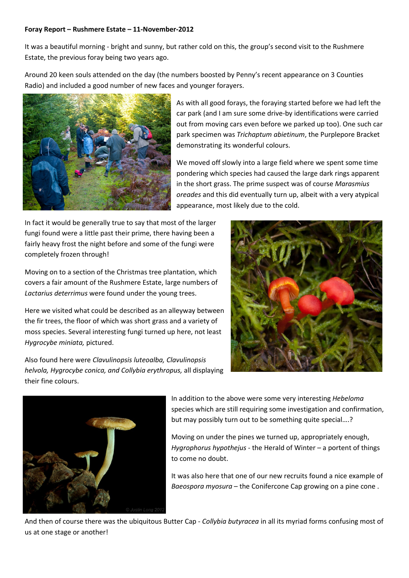## Foray Report – Rushmere Estate – 11-November-2012

It was a beautiful morning - bright and sunny, but rather cold on this, the group's second visit to the Rushmere Estate, the previous foray being two years ago.

Around 20 keen souls attended on the day (the numbers boosted by Penny's recent appearance on 3 Counties Radio) and included a good number of new faces and younger forayers.



As with all good forays, the foraying started before we had left the car park (and I am sure some drive-by identifications were carried out from moving cars even before we parked up too). One such car park specimen was Trichaptum abietinum, the Purplepore Bracket demonstrating its wonderful colours.

We moved off slowly into a large field where we spent some time pondering which species had caused the large dark rings apparent in the short grass. The prime suspect was of course Marasmius oreades and this did eventually turn up, albeit with a very atypical appearance, most likely due to the cold.

In fact it would be generally true to say that most of the larger fungi found were a little past their prime, there having been a fairly heavy frost the night before and some of the fungi were completely frozen through!

Moving on to a section of the Christmas tree plantation, which covers a fair amount of the Rushmere Estate, large numbers of Lactarius deterrimus were found under the young trees.

Here we visited what could be described as an alleyway between the fir trees, the floor of which was short grass and a variety of moss species. Several interesting fungi turned up here, not least Hygrocybe miniata, pictured.

Also found here were Clavulinopsis luteoalba, Clavulinopsis helvola, Hygrocybe conica, and Collybia erythropus, all displaying their fine colours.





In addition to the above were some very interesting Hebeloma species which are still requiring some investigation and confirmation, but may possibly turn out to be something quite special….?

Moving on under the pines we turned up, appropriately enough, Hygrophorus hypothejus - the Herald of Winter – a portent of things to come no doubt.

It was also here that one of our new recruits found a nice example of Baeospora myosura – the Conifercone Cap growing on a pine cone .

And then of course there was the ubiquitous Butter Cap - Collybia butyracea in all its myriad forms confusing most of us at one stage or another!